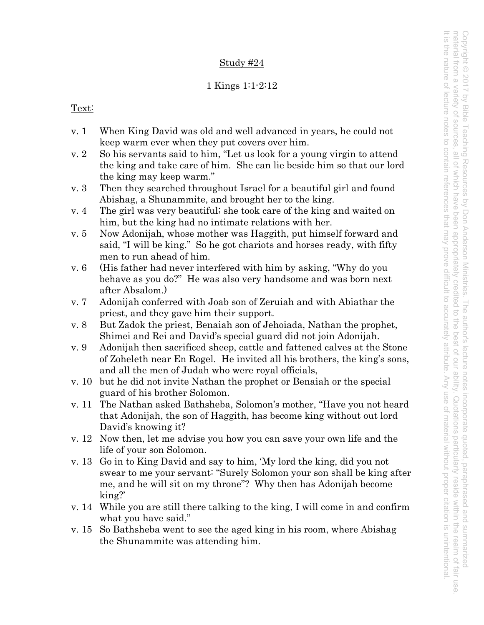# Study #24

# 1 Kings 1:1-2:12

## Text:

- v. 1 When King David was old and well advanced in years, he could not keep warm ever when they put covers over him.
- v. 2 So his servants said to him, "Let us look for a young virgin to attend the king and take care of him. She can lie beside him so that our lord the king may keep warm."
- v. 3 Then they searched throughout Israel for a beautiful girl and found Abishag, a Shunammite, and brought her to the king.
- v. 4 The girl was very beautiful; she took care of the king and waited on him, but the king had no intimate relations with her.
- v. 5 Now Adonijah, whose mother was Haggith, put himself forward and said, "I will be king." So he got chariots and horses ready, with fifty men to run ahead of him.
- v. 6 (His father had never interfered with him by asking, "Why do you behave as you do?" He was also very handsome and was born next after Absalom.)
- v. 7 Adonijah conferred with Joab son of Zeruiah and with Abiathar the priest, and they gave him their support.
- v. 8 But Zadok the priest, Benaiah son of Jehoiada, Nathan the prophet, Shimei and Rei and David's special guard did not join Adonijah.
- v. 9 Adonijah then sacrificed sheep, cattle and fattened calves at the Stone of Zoheleth near En Rogel. He invited all his brothers, the king's sons, and all the men of Judah who were royal officials,
- v. 10 but he did not invite Nathan the prophet or Benaiah or the special guard of his brother Solomon.
- v. 11 The Nathan asked Bathsheba, Solomon's mother, "Have you not heard that Adonijah, the son of Haggith, has become king without out lord David's knowing it?
- v. 12 Now then, let me advise you how you can save your own life and the life of your son Solomon.
- v. 13 Go in to King David and say to him, 'My lord the king, did you not swear to me your servant: "Surely Solomon your son shall be king after me, and he will sit on my throne"? Why then has Adonijah become king?'
- v. 14 While you are still there talking to the king, I will come in and confirm what you have said."
- v. 15 So Bathsheba went to see the aged king in his room, where Abishag the Shunammite was attending him.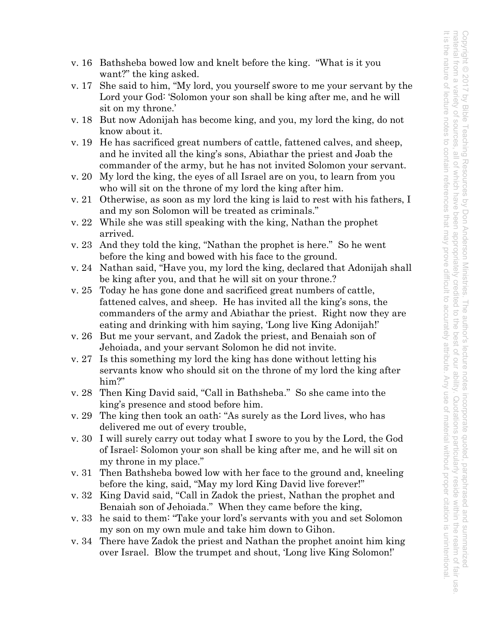- v. 16 Bathsheba bowed low and knelt before the king. "What is it you want?" the king asked.
- v. 17 She said to him, "My lord, you yourself swore to me your servant by the Lord your God: 'Solomon your son shall be king after me, and he will sit on my throne.'
- v. 18 But now Adonijah has become king, and you, my lord the king, do not know about it.
- v. 19 He has sacrificed great numbers of cattle, fattened calves, and sheep, and he invited all the king's sons, Abiathar the priest and Joab the commander of the army, but he has not invited Solomon your servant.
- v. 20 My lord the king, the eyes of all Israel are on you, to learn from you who will sit on the throne of my lord the king after him.
- v. 21 Otherwise, as soon as my lord the king is laid to rest with his fathers, I and my son Solomon will be treated as criminals."
- v. 22 While she was still speaking with the king, Nathan the prophet arrived.
- v. 23 And they told the king, "Nathan the prophet is here." So he went before the king and bowed with his face to the ground.
- v. 24 Nathan said, "Have you, my lord the king, declared that Adonijah shall be king after you, and that he will sit on your throne.?
- v. 25 Today he has gone done and sacrificed great numbers of cattle, fattened calves, and sheep. He has invited all the king's sons, the commanders of the army and Abiathar the priest. Right now they are eating and drinking with him saying, 'Long live King Adonijah!'
- v. 26 But me your servant, and Zadok the priest, and Benaiah son of Jehoiada, and your servant Solomon he did not invite.
- v. 27 Is this something my lord the king has done without letting his servants know who should sit on the throne of my lord the king after him?"
- v. 28 Then King David said, "Call in Bathsheba." So she came into the king's presence and stood before him.
- v. 29 The king then took an oath: "As surely as the Lord lives, who has delivered me out of every trouble,
- v. 30 I will surely carry out today what I swore to you by the Lord, the God of Israel: Solomon your son shall be king after me, and he will sit on my throne in my place."
- v. 31 Then Bathsheba bowed low with her face to the ground and, kneeling before the king, said, "May my lord King David live forever!"
- v. 32 King David said, "Call in Zadok the priest, Nathan the prophet and Benaiah son of Jehoiada." When they came before the king,
- v. 33 he said to them: "Take your lord's servants with you and set Solomon my son on my own mule and take him down to Gihon.
- v. 34 There have Zadok the priest and Nathan the prophet anoint him king over Israel. Blow the trumpet and shout, 'Long live King Solomon!'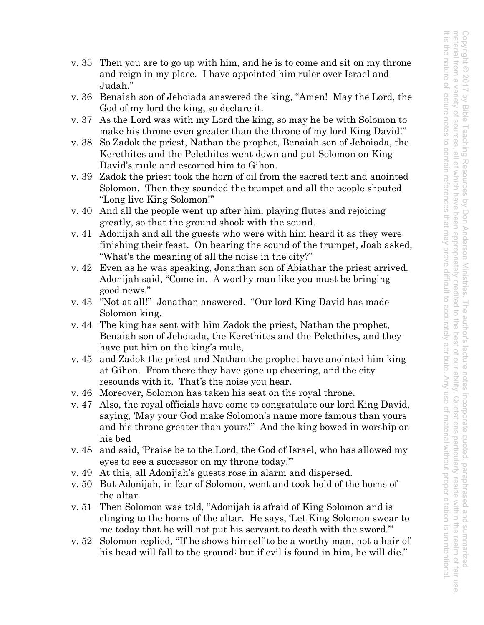- v. 35 Then you are to go up with him, and he is to come and sit on my throne and reign in my place. I have appointed him ruler over Israel and Judah."
- v. 36 Benaiah son of Jehoiada answered the king, "Amen! May the Lord, the God of my lord the king, so declare it.
- v. 37 As the Lord was with my Lord the king, so may he be with Solomon to make his throne even greater than the throne of my lord King David!"
- v. 38 So Zadok the priest, Nathan the prophet, Benaiah son of Jehoiada, the Kerethites and the Pelethites went down and put Solomon on King David's mule and escorted him to Gihon.
- v. 39 Zadok the priest took the horn of oil from the sacred tent and anointed Solomon. Then they sounded the trumpet and all the people shouted "Long live King Solomon!"
- v. 40 And all the people went up after him, playing flutes and rejoicing greatly, so that the ground shook with the sound.
- v. 41 Adonijah and all the guests who were with him heard it as they were finishing their feast. On hearing the sound of the trumpet, Joab asked, "What's the meaning of all the noise in the city?"
- v. 42 Even as he was speaking, Jonathan son of Abiathar the priest arrived. Adonijah said, "Come in. A worthy man like you must be bringing good news."
- v. 43 "Not at all!" Jonathan answered. "Our lord King David has made Solomon king.
- v. 44 The king has sent with him Zadok the priest, Nathan the prophet, Benaiah son of Jehoiada, the Kerethites and the Pelethites, and they have put him on the king's mule,
- v. 45 and Zadok the priest and Nathan the prophet have anointed him king at Gihon. From there they have gone up cheering, and the city resounds with it. That's the noise you hear.
- v. 46 Moreover, Solomon has taken his seat on the royal throne.
- v. 47 Also, the royal officials have come to congratulate our lord King David, saying, 'May your God make Solomon's name more famous than yours and his throne greater than yours!" And the king bowed in worship on his bed
- v. 48 and said, 'Praise be to the Lord, the God of Israel, who has allowed my eyes to see a successor on my throne today.'"
- v. 49 At this, all Adonijah's guests rose in alarm and dispersed.
- v. 50 But Adonijah, in fear of Solomon, went and took hold of the horns of the altar.
- v. 51 Then Solomon was told, "Adonijah is afraid of King Solomon and is clinging to the horns of the altar. He says, 'Let King Solomon swear to me today that he will not put his servant to death with the sword.'"
- v. 52 Solomon replied, "If he shows himself to be a worthy man, not a hair of his head will fall to the ground; but if evil is found in him, he will die."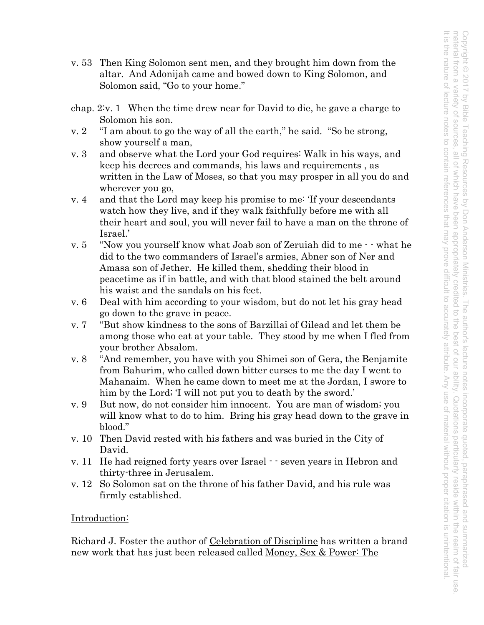- v. 53 Then King Solomon sent men, and they brought him down from the altar. And Adonijah came and bowed down to King Solomon, and Solomon said, "Go to your home."
- chap. 2:v. 1 When the time drew near for David to die, he gave a charge to Solomon his son.
- v. 2 "I am about to go the way of all the earth," he said. "So be strong, show yourself a man,
- v. 3 and observe what the Lord your God requires: Walk in his ways, and keep his decrees and commands, his laws and requirements , as written in the Law of Moses, so that you may prosper in all you do and wherever you go,
- v. 4 and that the Lord may keep his promise to me: 'If your descendants watch how they live, and if they walk faithfully before me with all their heart and soul, you will never fail to have a man on the throne of Israel.'
- v. 5 "Now you yourself know what Joab son of Zeruiah did to me - what he did to the two commanders of Israel's armies, Abner son of Ner and Amasa son of Jether. He killed them, shedding their blood in peacetime as if in battle, and with that blood stained the belt around his waist and the sandals on his feet.
- v. 6 Deal with him according to your wisdom, but do not let his gray head go down to the grave in peace.
- v. 7 "But show kindness to the sons of Barzillai of Gilead and let them be among those who eat at your table. They stood by me when I fled from your brother Absalom.
- v. 8 "And remember, you have with you Shimei son of Gera, the Benjamite from Bahurim, who called down bitter curses to me the day I went to Mahanaim. When he came down to meet me at the Jordan, I swore to him by the Lord; 'I will not put you to death by the sword.'
- v. 9 But now, do not consider him innocent. You are man of wisdom; you will know what to do to him. Bring his gray head down to the grave in blood."
- v. 10 Then David rested with his fathers and was buried in the City of David.
- v. 11 He had reigned forty years over Israel - seven years in Hebron and thirty-three in Jerusalem.
- v. 12 So Solomon sat on the throne of his father David, and his rule was firmly established.

## Introduction:

Richard J. Foster the author of Celebration of Discipline has written a brand new work that has just been released called <u>Money, Sex & Power: The</u>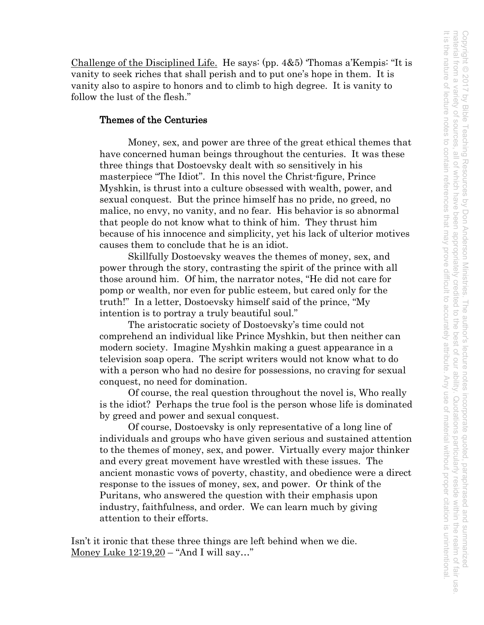Challenge of the Disciplined Life. He says: (pp. 4&5) 'Thomas a'Kempis: "It is vanity to seek riches that shall perish and to put one's hope in them. It is vanity also to aspire to honors and to climb to high degree. It is vanity to follow the lust of the flesh."

#### Themes of the Centuries

Money, sex, and power are three of the great ethical themes that have concerned human beings throughout the centuries. It was these three things that Dostoevsky dealt with so sensitively in his masterpiece "The Idiot". In this novel the Christ-figure, Prince Myshkin, is thrust into a culture obsessed with wealth, power, and sexual conquest. But the prince himself has no pride, no greed, no malice, no envy, no vanity, and no fear. His behavior is so abnormal that people do not know what to think of him. They thrust him because of his innocence and simplicity, yet his lack of ulterior motives causes them to conclude that he is an idiot.

Skillfully Dostoevsky weaves the themes of money, sex, and power through the story, contrasting the spirit of the prince with all those around him. Of him, the narrator notes, "He did not care for pomp or wealth, nor even for public esteem, but cared only for the truth!" In a letter, Dostoevsky himself said of the prince, "My intention is to portray a truly beautiful soul."

The aristocratic society of Dostoevsky's time could not comprehend an individual like Prince Myshkin, but then neither can modern society. Imagine Myshkin making a guest appearance in a television soap opera. The script writers would not know what to do with a person who had no desire for possessions, no craving for sexual conquest, no need for domination.

Of course, the real question throughout the novel is, Who really is the idiot? Perhaps the true fool is the person whose life is dominated by greed and power and sexual conquest.

Of course, Dostoevsky is only representative of a long line of individuals and groups who have given serious and sustained attention to the themes of money, sex, and power. Virtually every major thinker and every great movement have wrestled with these issues. The ancient monastic vows of poverty, chastity, and obedience were a direct response to the issues of money, sex, and power. Or think of the Puritans, who answered the question with their emphasis upon industry, faithfulness, and order. We can learn much by giving attention to their efforts.

Isn't it ironic that these three things are left behind when we die. Money Luke 12:19,20 – "And I will say…"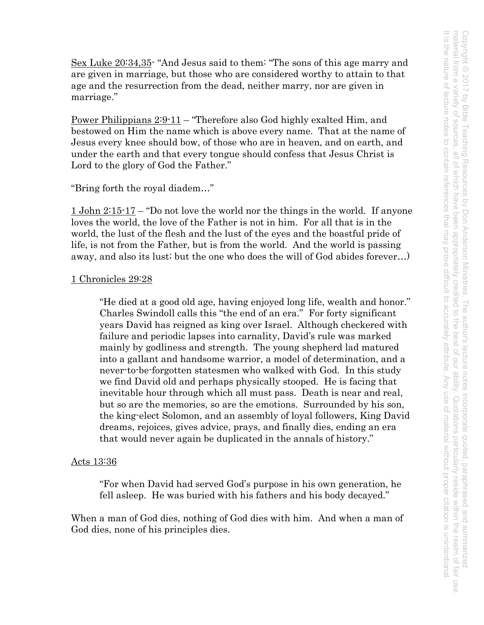Sex Luke 20:34,35- "And Jesus said to them: "The sons of this age marry and are given in marriage, but those who are considered worthy to attain to that age and the resurrection from the dead, neither marry, nor are given in marriage."

Power Philippians 2:9-11 – "Therefore also God highly exalted Him, and bestowed on Him the name which is above every name. That at the name of Jesus every knee should bow, of those who are in heaven, and on earth, and under the earth and that every tongue should confess that Jesus Christ is Lord to the glory of God the Father."

"Bring forth the royal diadem…"

1 John 2:15-17 – "Do not love the world nor the things in the world. If anyone loves the world, the love of the Father is not in him. For all that is in the world, the lust of the flesh and the lust of the eyes and the boastful pride of life, is not from the Father, but is from the world. And the world is passing away, and also its lust; but the one who does the will of God abides forever…)

#### 1 Chronicles 29:28

"He died at a good old age, having enjoyed long life, wealth and honor." Charles Swindoll calls this "the end of an era." For forty significant years David has reigned as king over Israel. Although checkered with failure and periodic lapses into carnality, David's rule was marked mainly by godliness and strength. The young shepherd lad matured into a gallant and handsome warrior, a model of determination, and a never-to-be-forgotten statesmen who walked with God. In this study we find David old and perhaps physically stooped. He is facing that inevitable hour through which all must pass. Death is near and real, but so are the memories, so are the emotions. Surrounded by his son, the king-elect Solomon, and an assembly of loyal followers, King David dreams, rejoices, gives advice, prays, and finally dies, ending an era that would never again be duplicated in the annals of history."

#### Acts 13:36

"For when David had served God's purpose in his own generation, he fell asleep. He was buried with his fathers and his body decayed."

When a man of God dies, nothing of God dies with him. And when a man of God dies, none of his principles dies.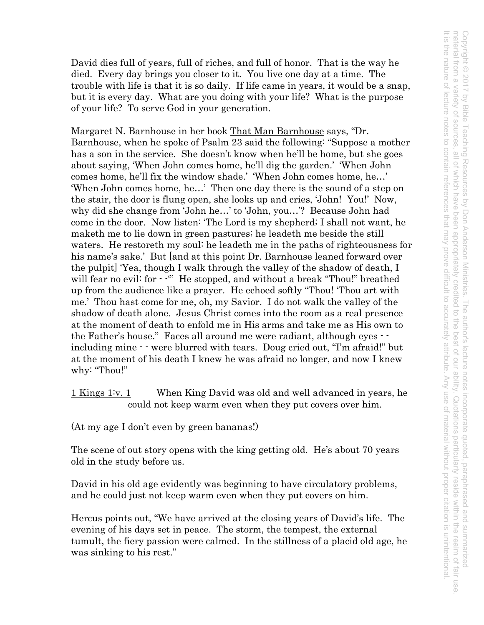David dies full of years, full of riches, and full of honor. That is the way he died. Every day brings you closer to it. You live one day at a time. The trouble with life is that it is so daily. If life came in years, it would be a snap, but it is every day. What are you doing with your life? What is the purpose of your life? To serve God in your generation.

Margaret N. Barnhouse in her book That Man Barnhouse says, "Dr. Barnhouse, when he spoke of Psalm 23 said the following: "Suppose a mother has a son in the service. She doesn't know when he'll be home, but she goes about saying, 'When John comes home, he'll dig the garden.' 'When John comes home, he'll fix the window shade.' 'When John comes home, he…' 'When John comes home, he…' Then one day there is the sound of a step on the stair, the door is flung open, she looks up and cries, 'John! You!' Now, why did she change from 'John he…' to 'John, you…'? Because John had come in the door. Now listen: 'The Lord is my shepherd; I shall not want, he maketh me to lie down in green pastures; he leadeth me beside the still waters. He restoreth my soul: he leadeth me in the paths of righteousness for his name's sake.' But [and at this point Dr. Barnhouse leaned forward over the pulpit] 'Yea, though I walk through the valley of the shadow of death, I will fear no evil: for  $\cdot \cdot$ " He stopped, and without a break "Thou!" breathed up from the audience like a prayer. He echoed softly "Thou! 'Thou art with me.' Thou hast come for me, oh, my Savior. I do not walk the valley of the shadow of death alone. Jesus Christ comes into the room as a real presence at the moment of death to enfold me in His arms and take me as His own to the Father's house." Faces all around me were radiant, although eyes - including mine - - were blurred with tears. Doug cried out, "I'm afraid!" but at the moment of his death I knew he was afraid no longer, and now I knew why: "Thou!"

1 Kings 1:v. 1 When King David was old and well advanced in years, he could not keep warm even when they put covers over him.

(At my age I don't even by green bananas!)

The scene of out story opens with the king getting old. He's about 70 years old in the study before us.

David in his old age evidently was beginning to have circulatory problems, and he could just not keep warm even when they put covers on him.

Hercus points out, "We have arrived at the closing years of David's life. The evening of his days set in peace. The storm, the tempest, the external tumult, the fiery passion were calmed. In the stillness of a placid old age, he was sinking to his rest."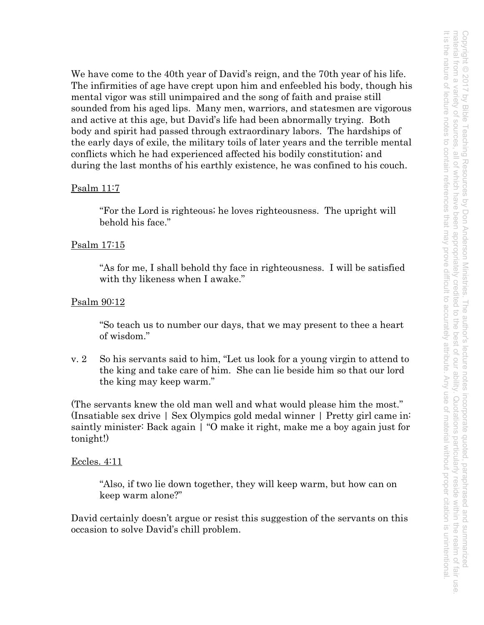We have come to the 40th year of David's reign, and the 70th year of his life. The infirmities of age have crept upon him and enfeebled his body, though his mental vigor was still unimpaired and the song of faith and praise still sounded from his aged lips. Many men, warriors, and statesmen are vigorous and active at this age, but David's life had been abnormally trying. Both body and spirit had passed through extraordinary labors. The hardships of the early days of exile, the military toils of later years and the terrible mental conflicts which he had experienced affected his bodily constitution; and during the last months of his earthly existence, he was confined to his couch.

## Psalm 11:7

"For the Lord is righteous; he loves righteousness. The upright will behold his face."

## Psalm 17:15

"As for me, I shall behold thy face in righteousness. I will be satisfied with thy likeness when I awake."

## Psalm 90:12

"So teach us to number our days, that we may present to thee a heart of wisdom."

v. 2 So his servants said to him, "Let us look for a young virgin to attend to the king and take care of him. She can lie beside him so that our lord the king may keep warm."

(The servants knew the old man well and what would please him the most." (Insatiable sex drive | Sex Olympics gold medal winner | Pretty girl came in: saintly minister: Back again | "O make it right, make me a boy again just for tonight!)

## Eccles. 4:11

"Also, if two lie down together, they will keep warm, but how can on keep warm alone?"

David certainly doesn't argue or resist this suggestion of the servants on this occasion to solve David's chill problem.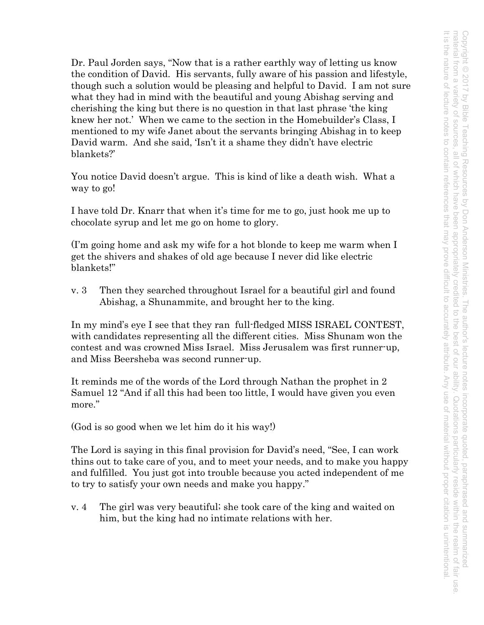Dr. Paul Jorden says, "Now that is a rather earthly way of letting us know the condition of David. His servants, fully aware of his passion and lifestyle, though such a solution would be pleasing and helpful to David. I am not sure what they had in mind with the beautiful and young Abishag serving and cherishing the king but there is no question in that last phrase 'the king knew her not.' When we came to the section in the Homebuilder's Class, I mentioned to my wife Janet about the servants bringing Abishag in to keep David warm. And she said, 'Isn't it a shame they didn't have electric blankets?'

You notice David doesn't argue. This is kind of like a death wish. What a way to go!

I have told Dr. Knarr that when it's time for me to go, just hook me up to chocolate syrup and let me go on home to glory.

(I'm going home and ask my wife for a hot blonde to keep me warm when I get the shivers and shakes of old age because I never did like electric blankets!"

v. 3 Then they searched throughout Israel for a beautiful girl and found Abishag, a Shunammite, and brought her to the king.

In my mind's eye I see that they ran full-fledged MISS ISRAEL CONTEST, with candidates representing all the different cities. Miss Shunam won the contest and was crowned Miss Israel. Miss Jerusalem was first runner-up, and Miss Beersheba was second runner-up.

It reminds me of the words of the Lord through Nathan the prophet in 2 Samuel 12 "And if all this had been too little, I would have given you even more."

(God is so good when we let him do it his way!)

The Lord is saying in this final provision for David's need, "See, I can work thins out to take care of you, and to meet your needs, and to make you happy and fulfilled. You just got into trouble because you acted independent of me to try to satisfy your own needs and make you happy."

v. 4 The girl was very beautiful; she took care of the king and waited on him, but the king had no intimate relations with her.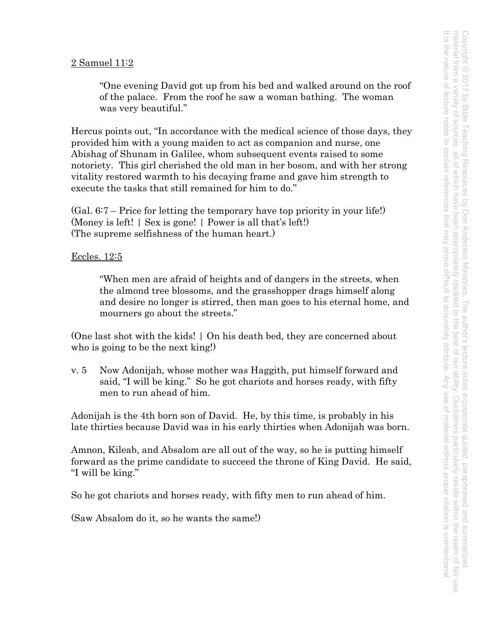#### 2 Samuel 11:2

"One evening David got up from his bed and walked around on the roof of the palace. From the roof he saw a woman bathing. The woman was very beautiful."

Hercus points out, "In accordance with the medical science of those days, they provided him with a young maiden to act as companion and nurse, one Abishag of Shunam in Galilee, whom subsequent events raised to some notoriety. This girl cherished the old man in her bosom, and with her strong vitality restored warmth to his decaying frame and gave him strength to execute the tasks that still remained for him to do."

(Gal. 6:7 – Price for letting the temporary have top priority in your life!) (Money is left! | Sex is gone! | Power is all that's left!) (The supreme selfishness of the human heart.)

#### Eccles. 12:5

"When men are afraid of heights and of dangers in the streets, when the almond tree blossoms, and the grasshopper drags himself along and desire no longer is stirred, then man goes to his eternal home, and mourners go about the streets."

(One last shot with the kids! | On his death bed, they are concerned about who is going to be the next king!)

v. 5 Now Adonijah, whose mother was Haggith, put himself forward and said, "I will be king." So he got chariots and horses ready, with fifty men to run ahead of him.

Adonijah is the 4th born son of David. He, by this time, is probably in his late thirties because David was in his early thirties when Adonijah was born.

Amnon, Kileab, and Absalom are all out of the way, so he is putting himself forward as the prime candidate to succeed the throne of King David. He said, "I will be king."

So he got chariots and horses ready, with fifty men to run ahead of him.

(Saw Absalom do it, so he wants the same!)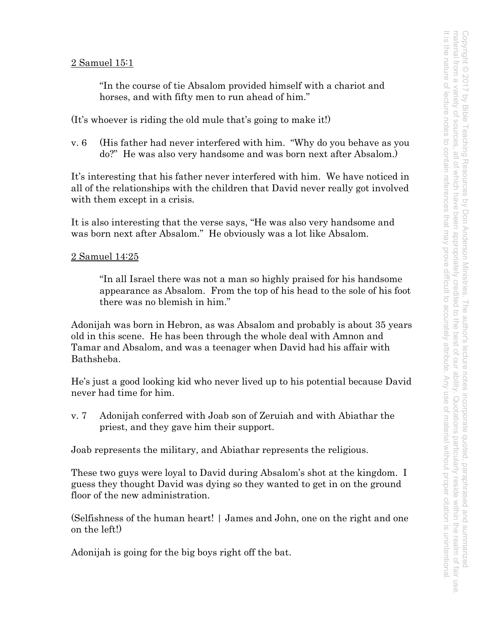#### 2 Samuel 15:1

"In the course of tie Absalom provided himself with a chariot and horses, and with fifty men to run ahead of him."

(It's whoever is riding the old mule that's going to make it!)

v. 6 (His father had never interfered with him. "Why do you behave as you do?" He was also very handsome and was born next after Absalom.)

It's interesting that his father never interfered with him. We have noticed in all of the relationships with the children that David never really got involved with them except in a crisis.

It is also interesting that the verse says, "He was also very handsome and was born next after Absalom." He obviously was a lot like Absalom.

## 2 Samuel 14:25

"In all Israel there was not a man so highly praised for his handsome appearance as Absalom. From the top of his head to the sole of his foot there was no blemish in him."

Adonijah was born in Hebron, as was Absalom and probably is about 35 years old in this scene. He has been through the whole deal with Amnon and Tamar and Absalom, and was a teenager when David had his affair with Bathsheba.

He's just a good looking kid who never lived up to his potential because David never had time for him.

v. 7 Adonijah conferred with Joab son of Zeruiah and with Abiathar the priest, and they gave him their support.

Joab represents the military, and Abiathar represents the religious.

These two guys were loyal to David during Absalom's shot at the kingdom. I guess they thought David was dying so they wanted to get in on the ground floor of the new administration.

(Selfishness of the human heart! | James and John, one on the right and one on the left!)

Adonijah is going for the big boys right off the bat.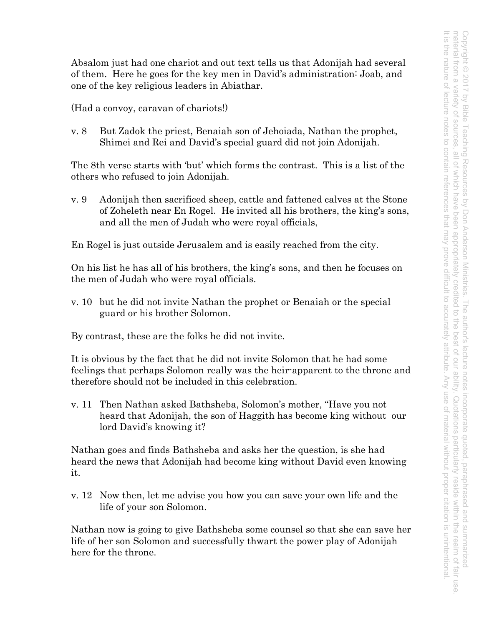Absalom just had one chariot and out text tells us that Adonijah had several of them. Here he goes for the key men in David's administration: Joab, and one of the key religious leaders in Abiathar.

(Had a convoy, caravan of chariots!)

v. 8 But Zadok the priest, Benaiah son of Jehoiada, Nathan the prophet, Shimei and Rei and David's special guard did not join Adonijah.

The 8th verse starts with 'but' which forms the contrast. This is a list of the others who refused to join Adonijah.

v. 9 Adonijah then sacrificed sheep, cattle and fattened calves at the Stone of Zoheleth near En Rogel. He invited all his brothers, the king's sons, and all the men of Judah who were royal officials,

En Rogel is just outside Jerusalem and is easily reached from the city.

On his list he has all of his brothers, the king's sons, and then he focuses on the men of Judah who were royal officials.

v. 10 but he did not invite Nathan the prophet or Benaiah or the special guard or his brother Solomon.

By contrast, these are the folks he did not invite.

It is obvious by the fact that he did not invite Solomon that he had some feelings that perhaps Solomon really was the heir-apparent to the throne and therefore should not be included in this celebration.

v. 11 Then Nathan asked Bathsheba, Solomon's mother, "Have you not heard that Adonijah, the son of Haggith has become king without our lord David's knowing it?

Nathan goes and finds Bathsheba and asks her the question, is she had heard the news that Adonijah had become king without David even knowing it.

v. 12 Now then, let me advise you how you can save your own life and the life of your son Solomon.

Nathan now is going to give Bathsheba some counsel so that she can save her life of her son Solomon and successfully thwart the power play of Adonijah here for the throne.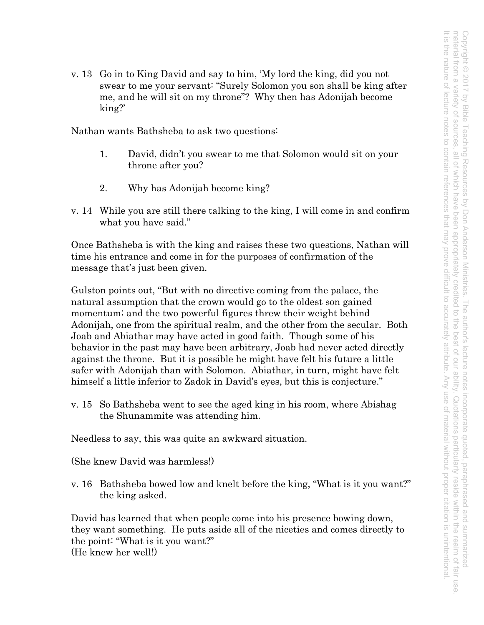v. 13 Go in to King David and say to him, 'My lord the king, did you not swear to me your servant: "Surely Solomon you son shall be king after me, and he will sit on my throne"? Why then has Adonijah become king?'

Nathan wants Bathsheba to ask two questions:

- 1. David, didn't you swear to me that Solomon would sit on your throne after you?
- 2. Why has Adonijah become king?
- v. 14 While you are still there talking to the king, I will come in and confirm what you have said."

Once Bathsheba is with the king and raises these two questions, Nathan will time his entrance and come in for the purposes of confirmation of the message that's just been given.

Gulston points out, "But with no directive coming from the palace, the natural assumption that the crown would go to the oldest son gained momentum; and the two powerful figures threw their weight behind Adonijah, one from the spiritual realm, and the other from the secular. Both Joab and Abiathar may have acted in good faith. Though some of his behavior in the past may have been arbitrary, Joab had never acted directly against the throne. But it is possible he might have felt his future a little safer with Adonijah than with Solomon. Abiathar, in turn, might have felt himself a little inferior to Zadok in David's eyes, but this is conjecture."

v. 15 So Bathsheba went to see the aged king in his room, where Abishag the Shunammite was attending him.

Needless to say, this was quite an awkward situation.

(She knew David was harmless!)

v. 16 Bathsheba bowed low and knelt before the king, "What is it you want?" the king asked.

David has learned that when people come into his presence bowing down, they want something. He puts aside all of the niceties and comes directly to the point: "What is it you want?" (He knew her well!)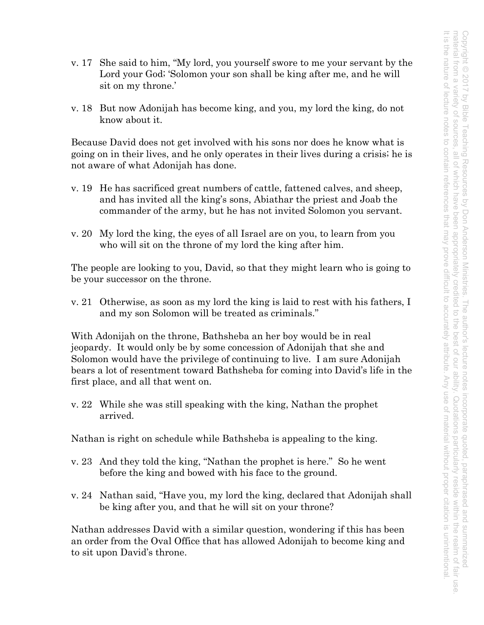- v. 17 She said to him, "My lord, you yourself swore to me your servant by the Lord your God; 'Solomon your son shall be king after me, and he will sit on my throne.'
- v. 18 But now Adonijah has become king, and you, my lord the king, do not know about it.

Because David does not get involved with his sons nor does he know what is going on in their lives, and he only operates in their lives during a crisis; he is not aware of what Adonijah has done.

- v. 19 He has sacrificed great numbers of cattle, fattened calves, and sheep, and has invited all the king's sons, Abiathar the priest and Joab the commander of the army, but he has not invited Solomon you servant.
- v. 20 My lord the king, the eyes of all Israel are on you, to learn from you who will sit on the throne of my lord the king after him.

The people are looking to you, David, so that they might learn who is going to be your successor on the throne.

v. 21 Otherwise, as soon as my lord the king is laid to rest with his fathers, I and my son Solomon will be treated as criminals."

With Adonijah on the throne, Bathsheba an her boy would be in real jeopardy. It would only be by some concession of Adonijah that she and Solomon would have the privilege of continuing to live. I am sure Adonijah bears a lot of resentment toward Bathsheba for coming into David's life in the first place, and all that went on.

v. 22 While she was still speaking with the king, Nathan the prophet arrived.

Nathan is right on schedule while Bathsheba is appealing to the king.

- v. 23 And they told the king, "Nathan the prophet is here." So he went before the king and bowed with his face to the ground.
- v. 24 Nathan said, "Have you, my lord the king, declared that Adonijah shall be king after you, and that he will sit on your throne?

Nathan addresses David with a similar question, wondering if this has been an order from the Oval Office that has allowed Adonijah to become king and to sit upon David's throne.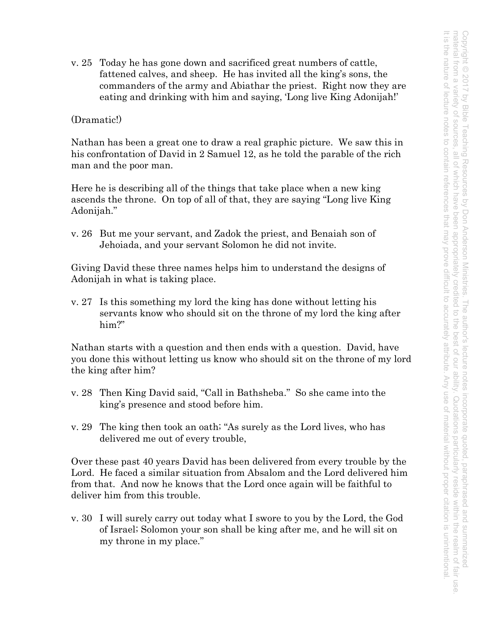v. 25 Today he has gone down and sacrificed great numbers of cattle, fattened calves, and sheep. He has invited all the king's sons, the commanders of the army and Abiathar the priest. Right now they are eating and drinking with him and saying, 'Long live King Adonijah!'

## (Dramatic!)

Nathan has been a great one to draw a real graphic picture. We saw this in his confrontation of David in 2 Samuel 12, as he told the parable of the rich man and the poor man.

Here he is describing all of the things that take place when a new king ascends the throne. On top of all of that, they are saying "Long live King Adonijah."

v. 26 But me your servant, and Zadok the priest, and Benaiah son of Jehoiada, and your servant Solomon he did not invite.

Giving David these three names helps him to understand the designs of Adonijah in what is taking place.

v. 27 Is this something my lord the king has done without letting his servants know who should sit on the throne of my lord the king after him?"

Nathan starts with a question and then ends with a question. David, have you done this without letting us know who should sit on the throne of my lord the king after him?

- v. 28 Then King David said, "Call in Bathsheba." So she came into the king's presence and stood before him.
- v. 29 The king then took an oath; "As surely as the Lord lives, who has delivered me out of every trouble,

Over these past 40 years David has been delivered from every trouble by the Lord. He faced a similar situation from Absalom and the Lord delivered him from that. And now he knows that the Lord once again will be faithful to deliver him from this trouble.

v. 30 I will surely carry out today what I swore to you by the Lord, the God of Israel; Solomon your son shall be king after me, and he will sit on my throne in my place."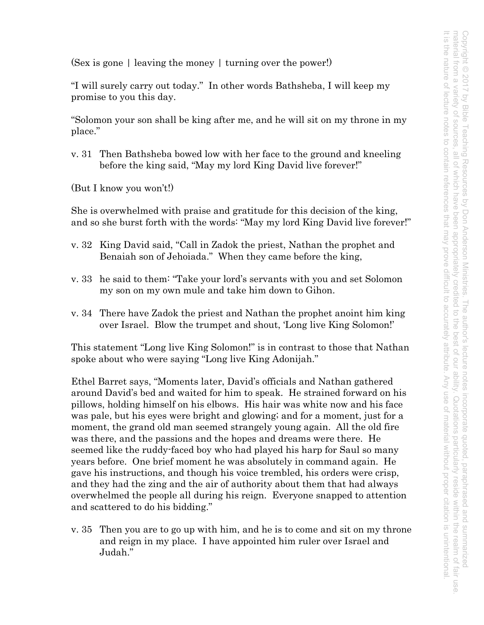(Sex is gone | leaving the money | turning over the power!)

"I will surely carry out today." In other words Bathsheba, I will keep my promise to you this day.

"Solomon your son shall be king after me, and he will sit on my throne in my place."

v. 31 Then Bathsheba bowed low with her face to the ground and kneeling before the king said, "May my lord King David live forever!"

(But I know you won't!)

She is overwhelmed with praise and gratitude for this decision of the king, and so she burst forth with the words: "May my lord King David live forever!"

- v. 32 King David said, "Call in Zadok the priest, Nathan the prophet and Benaiah son of Jehoiada." When they came before the king,
- v. 33 he said to them: "Take your lord's servants with you and set Solomon my son on my own mule and take him down to Gihon.
- v. 34 There have Zadok the priest and Nathan the prophet anoint him king over Israel. Blow the trumpet and shout, 'Long live King Solomon!'

This statement "Long live King Solomon!" is in contrast to those that Nathan spoke about who were saying "Long live King Adonijah."

Ethel Barret says, "Moments later, David's officials and Nathan gathered around David's bed and waited for him to speak. He strained forward on his pillows, holding himself on his elbows. His hair was white now and his face was pale, but his eyes were bright and glowing; and for a moment, just for a moment, the grand old man seemed strangely young again. All the old fire was there, and the passions and the hopes and dreams were there. He seemed like the ruddy-faced boy who had played his harp for Saul so many years before. One brief moment he was absolutely in command again. He gave his instructions, and though his voice trembled, his orders were crisp, and they had the zing and the air of authority about them that had always overwhelmed the people all during his reign. Everyone snapped to attention and scattered to do his bidding."

v. 35 Then you are to go up with him, and he is to come and sit on my throne and reign in my place. I have appointed him ruler over Israel and Judah."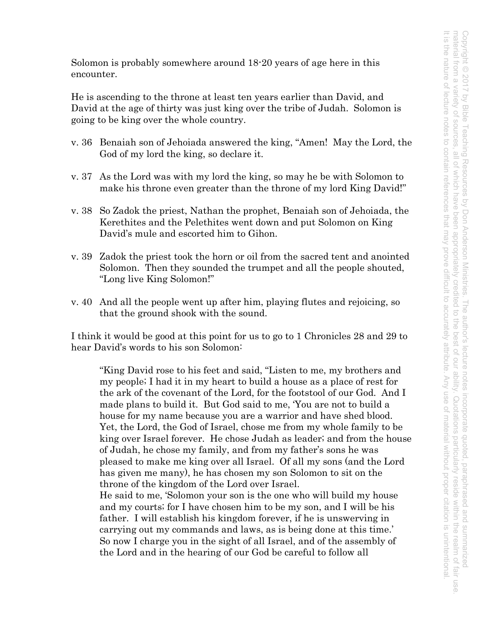Solomon is probably somewhere around 18-20 years of age here in this encounter.

He is ascending to the throne at least ten years earlier than David, and David at the age of thirty was just king over the tribe of Judah. Solomon is going to be king over the whole country.

- v. 36 Benaiah son of Jehoiada answered the king, "Amen! May the Lord, the God of my lord the king, so declare it.
- v. 37 As the Lord was with my lord the king, so may he be with Solomon to make his throne even greater than the throne of my lord King David!"
- v. 38 So Zadok the priest, Nathan the prophet, Benaiah son of Jehoiada, the Kerethites and the Pelethites went down and put Solomon on King David's mule and escorted him to Gihon.
- v. 39 Zadok the priest took the horn or oil from the sacred tent and anointed Solomon. Then they sounded the trumpet and all the people shouted, "Long live King Solomon!"
- v. 40 And all the people went up after him, playing flutes and rejoicing, so that the ground shook with the sound.

I think it would be good at this point for us to go to 1 Chronicles 28 and 29 to hear David's words to his son Solomon:

"King David rose to his feet and said, "Listen to me, my brothers and my people; I had it in my heart to build a house as a place of rest for the ark of the covenant of the Lord, for the footstool of our God. And I made plans to build it. But God said to me, 'You are not to build a house for my name because you are a warrior and have shed blood. Yet, the Lord, the God of Israel, chose me from my whole family to be king over Israel forever. He chose Judah as leader; and from the house of Judah, he chose my family, and from my father's sons he was pleased to make me king over all Israel. Of all my sons (and the Lord has given me many), he has chosen my son Solomon to sit on the throne of the kingdom of the Lord over Israel. He said to me, 'Solomon your son is the one who will build my house and my courts; for I have chosen him to be my son, and I will be his father. I will establish his kingdom forever, if he is unswerving in carrying out my commands and laws, as is being done at this time.' So now I charge you in the sight of all Israel, and of the assembly of the Lord and in the hearing of our God be careful to follow all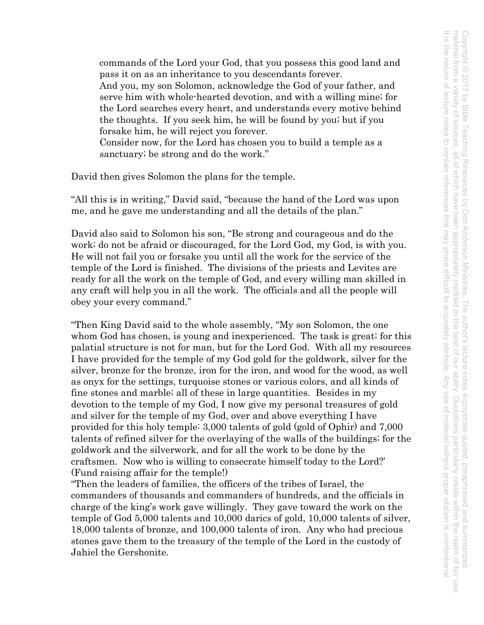commands of the Lord your God, that you possess this good land and pass it on as an inheritance to you descendants forever. And you, my son Solomon, acknowledge the God of your father, and serve him with whole-hearted devotion, and with a willing mine; for the Lord searches every heart, and understands every motive behind the thoughts. If you seek him, he will be found by you; but if you forsake him, he will reject you forever. Consider now, for the Lord has chosen you to build a temple as a sanctuary; be strong and do the work."

David then gives Solomon the plans for the temple.

"All this is in writing," David said, "because the hand of the Lord was upon me, and he gave me understanding and all the details of the plan."

David also said to Solomon his son, "Be strong and courageous and do the work; do not be afraid or discouraged, for the Lord God, my God, is with you. He will not fail you or forsake you until all the work for the service of the temple of the Lord is finished. The divisions of the priests and Levites are ready for all the work on the temple of God, and every willing man skilled in any craft will help you in all the work. The officials and all the people will obey your every command."

"Then King David said to the whole assembly, "My son Solomon, the one whom God has chosen, is young and inexperienced. The task is great; for this palatial structure is not for man, but for the Lord God. With all my resources I have provided for the temple of my God gold for the goldwork, silver for the silver, bronze for the bronze, iron for the iron, and wood for the wood, as well as onyx for the settings, turquoise stones or various colors, and all kinds of fine stones and marble; all of these in large quantities. Besides in my devotion to the temple of my God, I now give my personal treasures of gold and silver for the temple of my God, over and above everything I have provided for this holy temple: 3,000 talents of gold (gold of Ophir) and 7,000 talents of refined silver for the overlaying of the walls of the buildings; for the goldwork and the silverwork, and for all the work to be done by the craftsmen. Now who is willing to consecrate himself today to the Lord?' (Fund raising affair for the temple!)

"Then the leaders of families, the officers of the tribes of Israel, the commanders of thousands and commanders of hundreds, and the officials in charge of the king's work gave willingly. They gave toward the work on the temple of God 5,000 talents and 10,000 darics of gold, 10,000 talents of silver, 18,000 talents of bronze, and 100,000 talents of iron. Any who had precious stones gave them to the treasury of the temple of the Lord in the custody of Jahiel the Gershonite.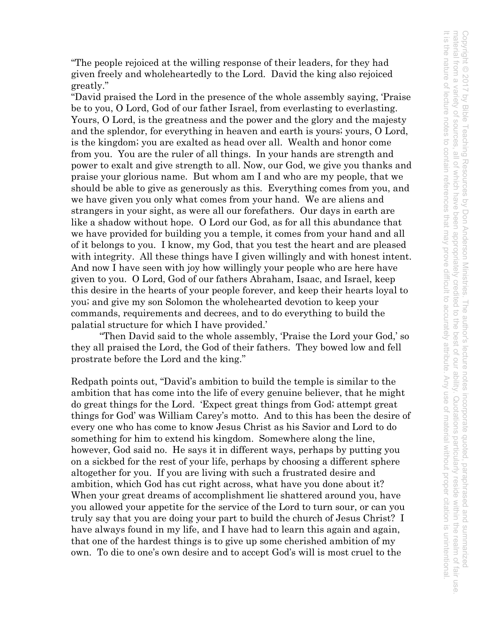"The people rejoiced at the willing response of their leaders, for they had given freely and wholeheartedly to the Lord. David the king also rejoiced greatly."

"David praised the Lord in the presence of the whole assembly saying, 'Praise be to you, O Lord, God of our father Israel, from everlasting to everlasting. Yours, O Lord, is the greatness and the power and the glory and the majesty and the splendor, for everything in heaven and earth is yours; yours, O Lord, is the kingdom; you are exalted as head over all. Wealth and honor come from you. You are the ruler of all things. In your hands are strength and power to exalt and give strength to all. Now, our God, we give you thanks and praise your glorious name. But whom am I and who are my people, that we should be able to give as generously as this. Everything comes from you, and we have given you only what comes from your hand. We are aliens and strangers in your sight, as were all our forefathers. Our days in earth are like a shadow without hope. O Lord our God, as for all this abundance that we have provided for building you a temple, it comes from your hand and all of it belongs to you. I know, my God, that you test the heart and are pleased with integrity. All these things have I given willingly and with honest intent. And now I have seen with joy how willingly your people who are here have given to you. O Lord, God of our fathers Abraham, Isaac, and Israel, keep this desire in the hearts of your people forever, and keep their hearts loyal to you; and give my son Solomon the wholehearted devotion to keep your commands, requirements and decrees, and to do everything to build the palatial structure for which I have provided.'

"Then David said to the whole assembly, 'Praise the Lord your God,' so they all praised the Lord, the God of their fathers. They bowed low and fell prostrate before the Lord and the king."

Redpath points out, "David's ambition to build the temple is similar to the ambition that has come into the life of every genuine believer, that he might do great things for the Lord. 'Expect great things from God; attempt great things for God' was William Carey's motto. And to this has been the desire of every one who has come to know Jesus Christ as his Savior and Lord to do something for him to extend his kingdom. Somewhere along the line, however, God said no. He says it in different ways, perhaps by putting you on a sickbed for the rest of your life, perhaps by choosing a different sphere altogether for you. If you are living with such a frustrated desire and ambition, which God has cut right across, what have you done about it? When your great dreams of accomplishment lie shattered around you, have you allowed your appetite for the service of the Lord to turn sour, or can you truly say that you are doing your part to build the church of Jesus Christ? I have always found in my life, and I have had to learn this again and again, that one of the hardest things is to give up some cherished ambition of my own. To die to one's own desire and to accept God's will is most cruel to the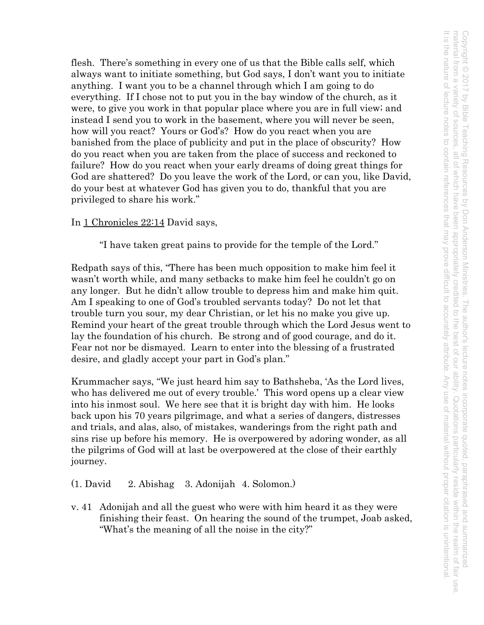flesh. There's something in every one of us that the Bible calls self, which always want to initiate something, but God says, I don't want you to initiate anything. I want you to be a channel through which I am going to do everything. If I chose not to put you in the bay window of the church, as it were, to give you work in that popular place where you are in full view; and instead I send you to work in the basement, where you will never be seen, how will you react? Yours or God's? How do you react when you are banished from the place of publicity and put in the place of obscurity? How do you react when you are taken from the place of success and reckoned to failure? How do you react when your early dreams of doing great things for God are shattered? Do you leave the work of the Lord, or can you, like David, do your best at whatever God has given you to do, thankful that you are privileged to share his work."

In 1 Chronicles 22:14 David says,

"I have taken great pains to provide for the temple of the Lord."

Redpath says of this, "There has been much opposition to make him feel it wasn't worth while, and many setbacks to make him feel he couldn't go on any longer. But he didn't allow trouble to depress him and make him quit. Am I speaking to one of God's troubled servants today? Do not let that trouble turn you sour, my dear Christian, or let his no make you give up. Remind your heart of the great trouble through which the Lord Jesus went to lay the foundation of his church. Be strong and of good courage, and do it. Fear not nor be dismayed. Learn to enter into the blessing of a frustrated desire, and gladly accept your part in God's plan."

Krummacher says, "We just heard him say to Bathsheba, 'As the Lord lives, who has delivered me out of every trouble.' This word opens up a clear view into his inmost soul. We here see that it is bright day with him. He looks back upon his 70 years pilgrimage, and what a series of dangers, distresses and trials, and alas, also, of mistakes, wanderings from the right path and sins rise up before his memory. He is overpowered by adoring wonder, as all the pilgrims of God will at last be overpowered at the close of their earthly journey.

(1. David 2. Abishag 3. Adonijah 4. Solomon.)

v. 41 Adonijah and all the guest who were with him heard it as they were finishing their feast. On hearing the sound of the trumpet, Joab asked, "What's the meaning of all the noise in the city?"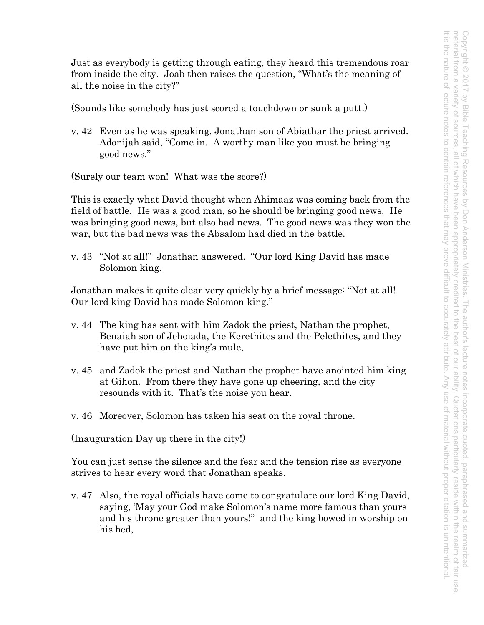Just as everybody is getting through eating, they heard this tremendous roar from inside the city. Joab then raises the question, "What's the meaning of all the noise in the city?"

(Sounds like somebody has just scored a touchdown or sunk a putt.)

v. 42 Even as he was speaking, Jonathan son of Abiathar the priest arrived. Adonijah said, "Come in. A worthy man like you must be bringing good news."

(Surely our team won! What was the score?)

This is exactly what David thought when Ahimaaz was coming back from the field of battle. He was a good man, so he should be bringing good news. He was bringing good news, but also bad news. The good news was they won the war, but the bad news was the Absalom had died in the battle.

v. 43 "Not at all!" Jonathan answered. "Our lord King David has made Solomon king.

Jonathan makes it quite clear very quickly by a brief message: "Not at all! Our lord king David has made Solomon king."

- v. 44 The king has sent with him Zadok the priest, Nathan the prophet, Benaiah son of Jehoiada, the Kerethites and the Pelethites, and they have put him on the king's mule,
- v. 45 and Zadok the priest and Nathan the prophet have anointed him king at Gihon. From there they have gone up cheering, and the city resounds with it. That's the noise you hear.
- v. 46 Moreover, Solomon has taken his seat on the royal throne.

(Inauguration Day up there in the city!)

You can just sense the silence and the fear and the tension rise as everyone strives to hear every word that Jonathan speaks.

v. 47 Also, the royal officials have come to congratulate our lord King David, saying, 'May your God make Solomon's name more famous than yours and his throne greater than yours!" and the king bowed in worship on his bed,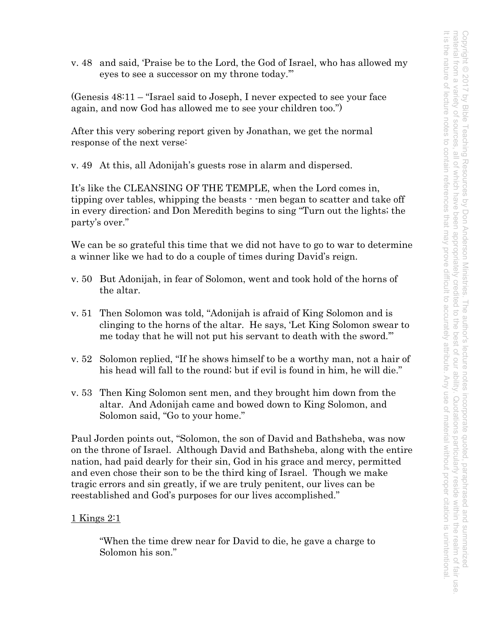v. 48 and said, 'Praise be to the Lord, the God of Israel, who has allowed my eyes to see a successor on my throne today.'"

(Genesis 48:11 – "Israel said to Joseph, I never expected to see your face again, and now God has allowed me to see your children too.")

After this very sobering report given by Jonathan, we get the normal response of the next verse:

v. 49 At this, all Adonijah's guests rose in alarm and dispersed.

It's like the CLEANSING OF THE TEMPLE, when the Lord comes in, tipping over tables, whipping the beasts - -men began to scatter and take off in every direction; and Don Meredith begins to sing "Turn out the lights; the party's over."

We can be so grateful this time that we did not have to go to war to determine a winner like we had to do a couple of times during David's reign.

- v. 50 But Adonijah, in fear of Solomon, went and took hold of the horns of the altar.
- v. 51 Then Solomon was told, "Adonijah is afraid of King Solomon and is clinging to the horns of the altar. He says, 'Let King Solomon swear to me today that he will not put his servant to death with the sword.'"
- v. 52 Solomon replied, "If he shows himself to be a worthy man, not a hair of his head will fall to the round; but if evil is found in him, he will die."
- v. 53 Then King Solomon sent men, and they brought him down from the altar. And Adonijah came and bowed down to King Solomon, and Solomon said, "Go to your home."

Paul Jorden points out, "Solomon, the son of David and Bathsheba, was now on the throne of Israel. Although David and Bathsheba, along with the entire nation, had paid dearly for their sin, God in his grace and mercy, permitted and even chose their son to be the third king of Israel. Though we make tragic errors and sin greatly, if we are truly penitent, our lives can be reestablished and God's purposes for our lives accomplished."

## 1 Kings 2:1

"When the time drew near for David to die, he gave a charge to Solomon his son."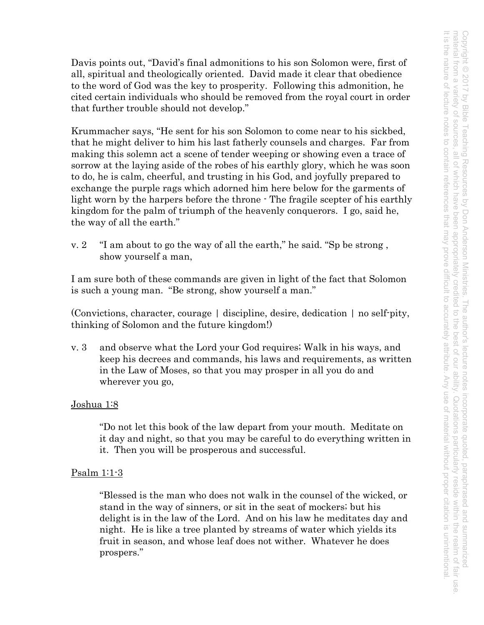Davis points out, "David's final admonitions to his son Solomon were, first of all, spiritual and theologically oriented. David made it clear that obedience to the word of God was the key to prosperity. Following this admonition, he cited certain individuals who should be removed from the royal court in order that further trouble should not develop."

Krummacher says, "He sent for his son Solomon to come near to his sickbed, that he might deliver to him his last fatherly counsels and charges. Far from making this solemn act a scene of tender weeping or showing even a trace of sorrow at the laying aside of the robes of his earthly glory, which he was soon to do, he is calm, cheerful, and trusting in his God, and joyfully prepared to exchange the purple rags which adorned him here below for the garments of light worn by the harpers before the throne - The fragile scepter of his earthly kingdom for the palm of triumph of the heavenly conquerors. I go, said he, the way of all the earth."

v. 2 "I am about to go the way of all the earth," he said. "Sp be strong , show yourself a man,

I am sure both of these commands are given in light of the fact that Solomon is such a young man. "Be strong, show yourself a man."

(Convictions, character, courage | discipline, desire, dedication | no self-pity, thinking of Solomon and the future kingdom!)

v. 3 and observe what the Lord your God requires; Walk in his ways, and keep his decrees and commands, his laws and requirements, as written in the Law of Moses, so that you may prosper in all you do and wherever you go,

## Joshua 1:8

"Do not let this book of the law depart from your mouth. Meditate on it day and night, so that you may be careful to do everything written in it. Then you will be prosperous and successful.

## Psalm 1:1-3

"Blessed is the man who does not walk in the counsel of the wicked, or stand in the way of sinners, or sit in the seat of mockers; but his delight is in the law of the Lord. And on his law he meditates day and night. He is like a tree planted by streams of water which yields its fruit in season, and whose leaf does not wither. Whatever he does prospers."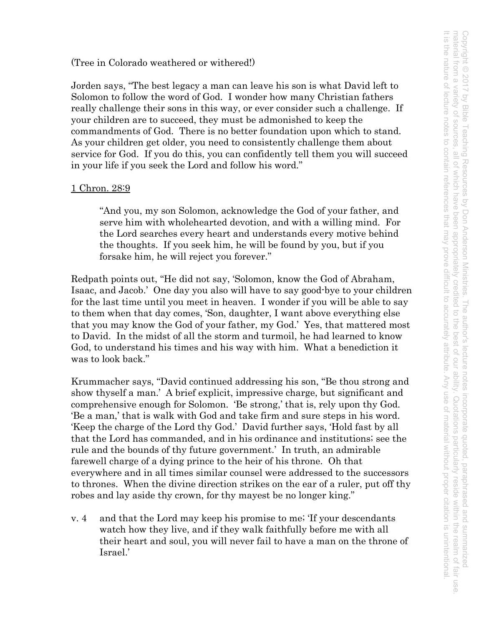(Tree in Colorado weathered or withered!)

Jorden says, "The best legacy a man can leave his son is what David left to Solomon to follow the word of God. I wonder how many Christian fathers really challenge their sons in this way, or ever consider such a challenge. If your children are to succeed, they must be admonished to keep the commandments of God. There is no better foundation upon which to stand. As your children get older, you need to consistently challenge them about service for God. If you do this, you can confidently tell them you will succeed in your life if you seek the Lord and follow his word."

## 1 Chron. 28:9

"And you, my son Solomon, acknowledge the God of your father, and serve him with wholehearted devotion, and with a willing mind. For the Lord searches every heart and understands every motive behind the thoughts. If you seek him, he will be found by you, but if you forsake him, he will reject you forever."

Redpath points out, "He did not say, 'Solomon, know the God of Abraham, Isaac, and Jacob.' One day you also will have to say good-bye to your children for the last time until you meet in heaven. I wonder if you will be able to say to them when that day comes, 'Son, daughter, I want above everything else that you may know the God of your father, my God.' Yes, that mattered most to David. In the midst of all the storm and turmoil, he had learned to know God, to understand his times and his way with him. What a benediction it was to look back."

Krummacher says, "David continued addressing his son, "Be thou strong and show thyself a man.' A brief explicit, impressive charge, but significant and comprehensive enough for Solomon. 'Be strong,' that is, rely upon thy God. 'Be a man,' that is walk with God and take firm and sure steps in his word. 'Keep the charge of the Lord thy God.' David further says, 'Hold fast by all that the Lord has commanded, and in his ordinance and institutions; see the rule and the bounds of thy future government.' In truth, an admirable farewell charge of a dying prince to the heir of his throne. Oh that everywhere and in all times similar counsel were addressed to the successors to thrones. When the divine direction strikes on the ear of a ruler, put off thy robes and lay aside thy crown, for thy mayest be no longer king."

v. 4 and that the Lord may keep his promise to me; 'If your descendants watch how they live, and if they walk faithfully before me with all their heart and soul, you will never fail to have a man on the throne of Israel.'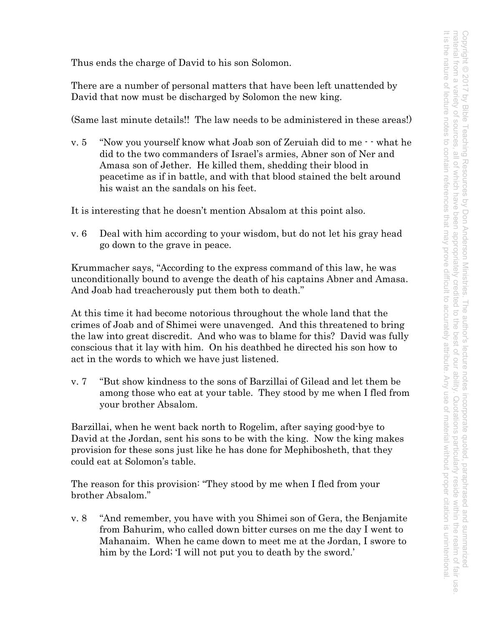Thus ends the charge of David to his son Solomon.

There are a number of personal matters that have been left unattended by David that now must be discharged by Solomon the new king.

(Same last minute details!! The law needs to be administered in these areas!)

v. 5 "Now you yourself know what Joab son of Zeruiah did to me - - what he did to the two commanders of Israel's armies, Abner son of Ner and Amasa son of Jether. He killed them, shedding their blood in peacetime as if in battle, and with that blood stained the belt around his waist an the sandals on his feet.

It is interesting that he doesn't mention Absalom at this point also.

v. 6 Deal with him according to your wisdom, but do not let his gray head go down to the grave in peace.

Krummacher says, "According to the express command of this law, he was unconditionally bound to avenge the death of his captains Abner and Amasa. And Joab had treacherously put them both to death."

At this time it had become notorious throughout the whole land that the crimes of Joab and of Shimei were unavenged. And this threatened to bring the law into great discredit. And who was to blame for this? David was fully conscious that it lay with him. On his deathbed he directed his son how to act in the words to which we have just listened.

v. 7 "But show kindness to the sons of Barzillai of Gilead and let them be among those who eat at your table. They stood by me when I fled from your brother Absalom.

Barzillai, when he went back north to Rogelim, after saying good-bye to David at the Jordan, sent his sons to be with the king. Now the king makes provision for these sons just like he has done for Mephibosheth, that they could eat at Solomon's table.

The reason for this provision: "They stood by me when I fled from your brother Absalom."

v. 8 "And remember, you have with you Shimei son of Gera, the Benjamite from Bahurim, who called down bitter curses on me the day I went to Mahanaim. When he came down to meet me at the Jordan, I swore to him by the Lord; 'I will not put you to death by the sword.'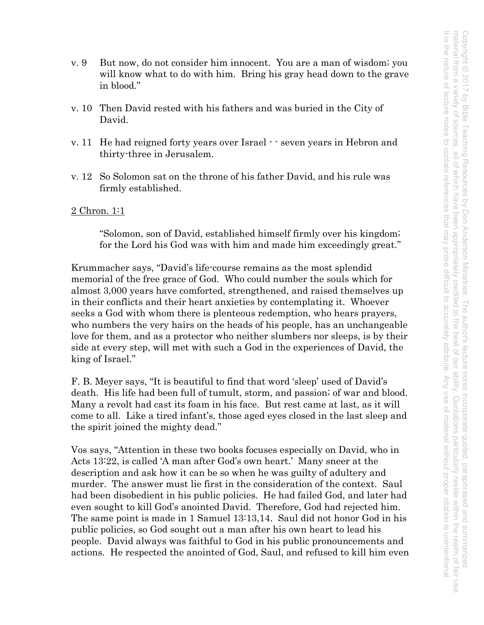- v. 10 Then David rested with his fathers and was buried in the City of David.
- v. 11 He had reigned forty years over Israel  $\cdot$  seven years in Hebron and thirty-three in Jerusalem.
- v. 12 So Solomon sat on the throne of his father David, and his rule was firmly established.

## 2 Chron. 1:1

"Solomon, son of David, established himself firmly over his kingdom; for the Lord his God was with him and made him exceedingly great."

Krummacher says, "David's life-course remains as the most splendid memorial of the free grace of God. Who could number the souls which for almost 3,000 years have comforted, strengthened, and raised themselves up in their conflicts and their heart anxieties by contemplating it. Whoever seeks a God with whom there is plenteous redemption, who hears prayers, who numbers the very hairs on the heads of his people, has an unchangeable love for them, and as a protector who neither slumbers nor sleeps, is by their side at every step, will met with such a God in the experiences of David, the king of Israel."

F. B. Meyer says, "It is beautiful to find that word 'sleep' used of David's death. His life had been full of tumult, storm, and passion; of war and blood. Many a revolt had cast its foam in his face. But rest came at last, as it will come to all. Like a tired infant's, those aged eyes closed in the last sleep and the spirit joined the mighty dead."

Vos says, "Attention in these two books focuses especially on David, who in Acts 13:22, is called 'A man after God's own heart.' Many sneer at the description and ask how it can be so when he was guilty of adultery and murder. The answer must lie first in the consideration of the context. Saul had been disobedient in his public policies. He had failed God, and later had even sought to kill God's anointed David. Therefore, God had rejected him. The same point is made in 1 Samuel 13:13,14. Saul did not honor God in his public policies, so God sought out a man after his own heart to lead his people. David always was faithful to God in his public pronouncements and actions. He respected the anointed of God, Saul, and refused to kill him even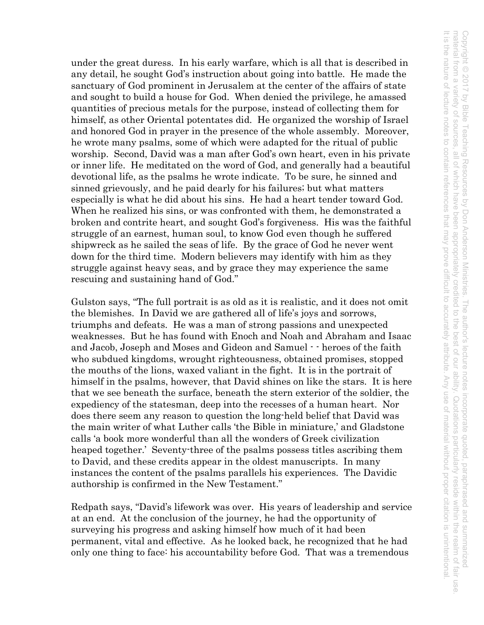under the great duress. In his early warfare, which is all that is described in any detail, he sought God's instruction about going into battle. He made the sanctuary of God prominent in Jerusalem at the center of the affairs of state and sought to build a house for God. When denied the privilege, he amassed quantities of precious metals for the purpose, instead of collecting them for himself, as other Oriental potentates did. He organized the worship of Israel and honored God in prayer in the presence of the whole assembly. Moreover, he wrote many psalms, some of which were adapted for the ritual of public worship. Second, David was a man after God's own heart, even in his private or inner life. He meditated on the word of God, and generally had a beautiful devotional life, as the psalms he wrote indicate. To be sure, he sinned and sinned grievously, and he paid dearly for his failures; but what matters especially is what he did about his sins. He had a heart tender toward God. When he realized his sins, or was confronted with them, he demonstrated a broken and contrite heart, and sought God's forgiveness. His was the faithful struggle of an earnest, human soul, to know God even though he suffered shipwreck as he sailed the seas of life. By the grace of God he never went down for the third time. Modern believers may identify with him as they struggle against heavy seas, and by grace they may experience the same rescuing and sustaining hand of God."

Gulston says, "The full portrait is as old as it is realistic, and it does not omit the blemishes. In David we are gathered all of life's joys and sorrows, triumphs and defeats. He was a man of strong passions and unexpected weaknesses. But he has found with Enoch and Noah and Abraham and Isaac and Jacob, Joseph and Moses and Gideon and Samuel - - heroes of the faith who subdued kingdoms, wrought righteousness, obtained promises, stopped the mouths of the lions, waxed valiant in the fight. It is in the portrait of himself in the psalms, however, that David shines on like the stars. It is here that we see beneath the surface, beneath the stern exterior of the soldier, the expediency of the statesman, deep into the recesses of a human heart. Nor does there seem any reason to question the long-held belief that David was the main writer of what Luther calls 'the Bible in miniature,' and Gladstone calls 'a book more wonderful than all the wonders of Greek civilization heaped together.' Seventy-three of the psalms possess titles ascribing them to David, and these credits appear in the oldest manuscripts. In many instances the content of the psalms parallels his experiences. The Davidic authorship is confirmed in the New Testament."

Redpath says, "David's lifework was over. His years of leadership and service at an end. At the conclusion of the journey, he had the opportunity of surveying his progress and asking himself how much of it had been permanent, vital and effective. As he looked back, he recognized that he had only one thing to face: his accountability before God. That was a tremendous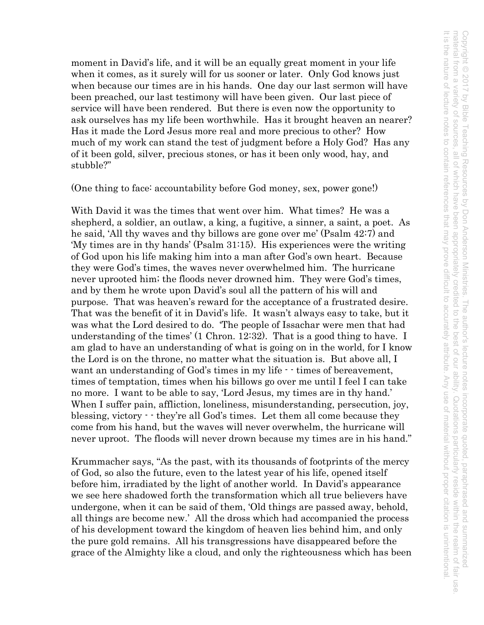moment in David's life, and it will be an equally great moment in your life when it comes, as it surely will for us sooner or later. Only God knows just when because our times are in his hands. One day our last sermon will have been preached, our last testimony will have been given. Our last piece of service will have been rendered. But there is even now the opportunity to ask ourselves has my life been worthwhile. Has it brought heaven an nearer? Has it made the Lord Jesus more real and more precious to other? How much of my work can stand the test of judgment before a Holy God? Has any of it been gold, silver, precious stones, or has it been only wood, hay, and stubble?"

(One thing to face: accountability before God money, sex, power gone!)

With David it was the times that went over him. What times? He was a shepherd, a soldier, an outlaw, a king, a fugitive, a sinner, a saint, a poet. As he said, 'All thy waves and thy billows are gone over me' (Psalm 42:7) and 'My times are in thy hands' (Psalm 31:15). His experiences were the writing of God upon his life making him into a man after God's own heart. Because they were God's times, the waves never overwhelmed him. The hurricane never uprooted him; the floods never drowned him. They were God's times, and by them he wrote upon David's soul all the pattern of his will and purpose. That was heaven's reward for the acceptance of a frustrated desire. That was the benefit of it in David's life. It wasn't always easy to take, but it was what the Lord desired to do. 'The people of Issachar were men that had understanding of the times' (1 Chron. 12:32). That is a good thing to have. I am glad to have an understanding of what is going on in the world, for I know the Lord is on the throne, no matter what the situation is. But above all, I want an understanding of God's times in my life  $\cdot$  times of bereavement, times of temptation, times when his billows go over me until I feel I can take no more. I want to be able to say, 'Lord Jesus, my times are in thy hand.' When I suffer pain, affliction, loneliness, misunderstanding, persecution, joy, blessing, victory  $\cdot$  they're all God's times. Let them all come because they come from his hand, but the waves will never overwhelm, the hurricane will never uproot. The floods will never drown because my times are in his hand."

Krummacher says, "As the past, with its thousands of footprints of the mercy of God, so also the future, even to the latest year of his life, opened itself before him, irradiated by the light of another world. In David's appearance we see here shadowed forth the transformation which all true believers have undergone, when it can be said of them, 'Old things are passed away, behold, all things are become new.' All the dross which had accompanied the process of his development toward the kingdom of heaven lies behind him, and only the pure gold remains. All his transgressions have disappeared before the grace of the Almighty like a cloud, and only the righteousness which has been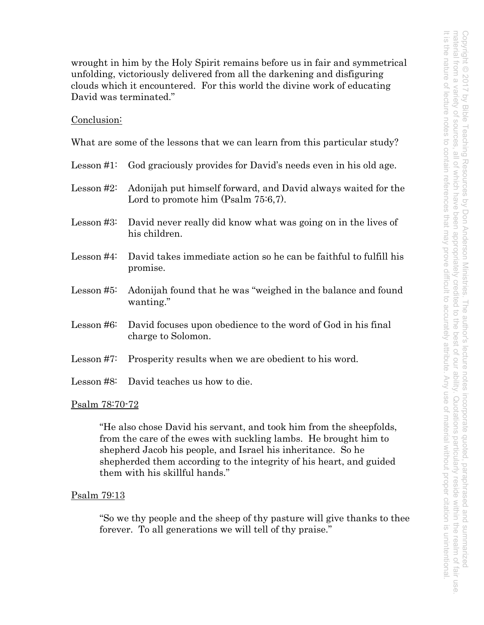wrought in him by the Holy Spirit remains before us in fair and symmetrical unfolding, victoriously delivered from all the darkening and disfiguring clouds which it encountered. For this world the divine work of educating David was terminated."

#### Conclusion:

What are some of the lessons that we can learn from this particular study?

|               | Lesson #1: God graciously provides for David's needs even in his old age.                               |
|---------------|---------------------------------------------------------------------------------------------------------|
| Lesson $#2$ : | Adonijah put himself forward, and David always waited for the<br>Lord to promote him $(Psalm 75:6,7)$ . |
| Lesson $#3$ : | David never really did know what was going on in the lives of<br>his children.                          |
| Lesson $#4$ : | David takes immediate action so he can be faithful to fulfill his<br>promise.                           |
| Lesson #5:    | Adonijah found that he was "weighed in the balance and found<br>wanting."                               |
| Lesson $#6$ : | David focuses upon obedience to the word of God in his final<br>charge to Solomon.                      |
| Lesson $#7$ : | Prosperity results when we are obedient to his word.                                                    |
|               | Lesson #8: David teaches us how to die.                                                                 |

#### Psalm 78:70-72

"He also chose David his servant, and took him from the sheepfolds, from the care of the ewes with suckling lambs. He brought him to shepherd Jacob his people, and Israel his inheritance. So he shepherded them according to the integrity of his heart, and guided them with his skillful hands."

## Psalm 79:13

"So we thy people and the sheep of thy pasture will give thanks to thee forever. To all generations we will tell of thy praise."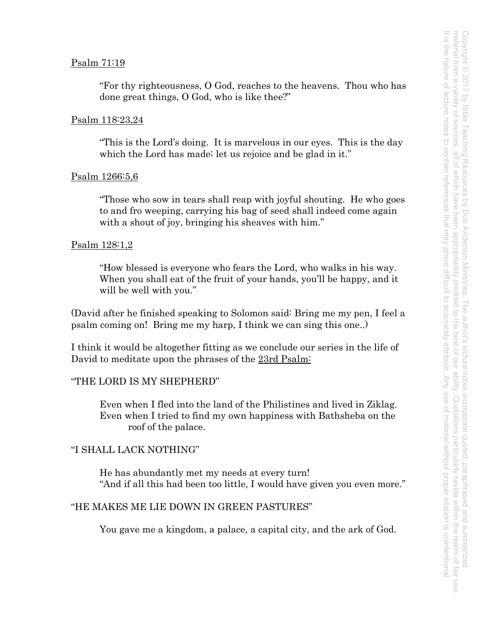#### Psalm 71:19

"For thy righteousness, O God, reaches to the heavens. Thou who has done great things, O God, who is like thee?"

#### Psalm 118:23,24

"This is the Lord's doing. It is marvelous in our eyes. This is the day which the Lord has made; let us rejoice and be glad in it."

#### Psalm 1266:5,6

"Those who sow in tears shall reap with joyful shouting. He who goes to and fro weeping, carrying his bag of seed shall indeed come again with a shout of joy, bringing his sheaves with him."

#### Psalm 128:1,2

"How blessed is everyone who fears the Lord, who walks in his way. When you shall eat of the fruit of your hands, you'll be happy, and it will be well with you."

(David after he finished speaking to Solomon said: Bring me my pen, I feel a psalm coming on! Bring me my harp, I think we can sing this one..)

I think it would be altogether fitting as we conclude our series in the life of David to meditate upon the phrases of the 23rd Psalm:

### "THE LORD IS MY SHEPHERD"

 Even when I fled into the land of the Philistines and lived in Ziklag. Even when I tried to find my own happiness with Bathsheba on the roof of the palace.

#### "I SHALL LACK NOTHING"

He has abundantly met my needs at every turn! "And if all this had been too little, I would have given you even more."

#### "HE MAKES ME LIE DOWN IN GREEN PASTURES"

You gave me a kingdom, a palace, a capital city, and the ark of God.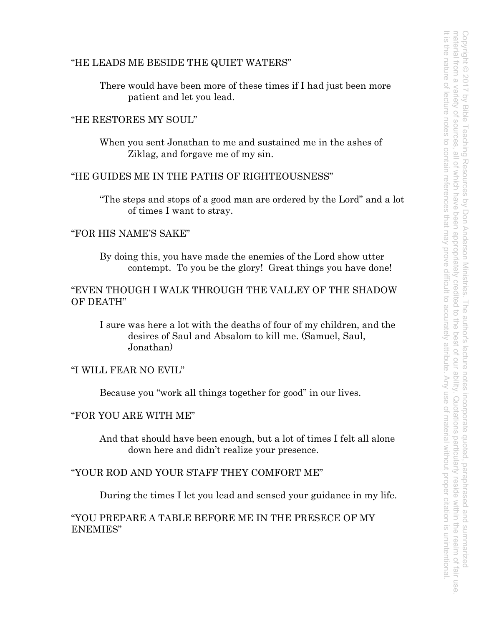## "HE LEADS ME BESIDE THE QUIET WATERS"

There would have been more of these times if I had just been more patient and let you lead.

#### "HE RESTORES MY SOUL"

When you sent Jonathan to me and sustained me in the ashes of Ziklag, and forgave me of my sin.

#### "HE GUIDES ME IN THE PATHS OF RIGHTEOUSNESS"

"The steps and stops of a good man are ordered by the Lord" and a lot of times I want to stray.

## "FOR HIS NAME'S SAKE"

By doing this, you have made the enemies of the Lord show utter contempt. To you be the glory! Great things you have done!

## "EVEN THOUGH I WALK THROUGH THE VALLEY OF THE SHADOW OF DEATH"

I sure was here a lot with the deaths of four of my children, and the desires of Saul and Absalom to kill me. (Samuel, Saul, Jonathan)

## "I WILL FEAR NO EVIL"

Because you "work all things together for good" in our lives.

#### "FOR YOU ARE WITH ME"

And that should have been enough, but a lot of times I felt all alone down here and didn't realize your presence.

## "YOUR ROD AND YOUR STAFF THEY COMFORT ME"

During the times I let you lead and sensed your guidance in my life.

"YOU PREPARE A TABLE BEFORE ME IN THE PRESECE OF MY ENEMIES"